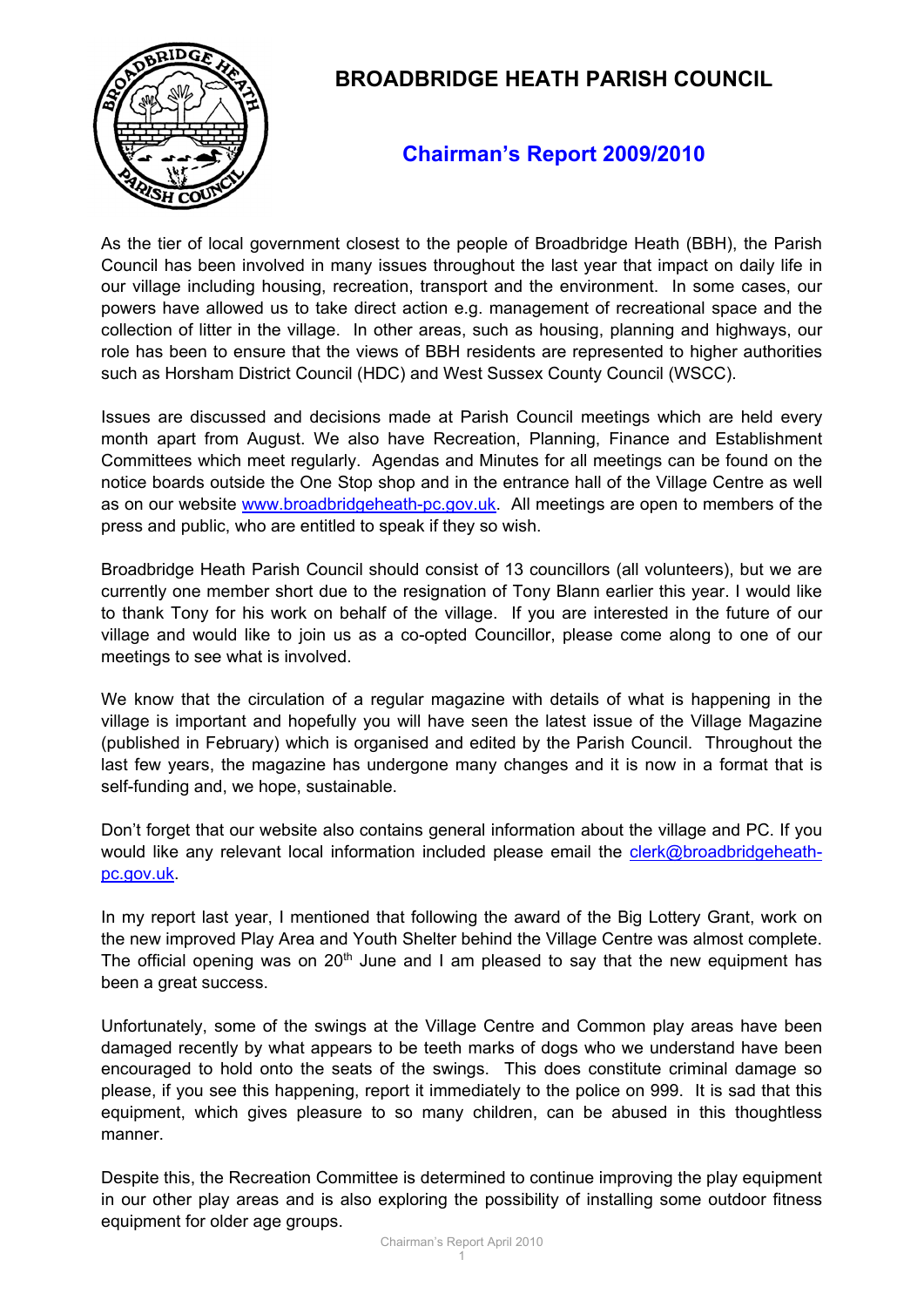

## **BROADBRIDGE HEATH PARISH COUNCIL**

## **Chairman's Report 2009/2010**

As the tier of local government closest to the people of Broadbridge Heath (BBH), the Parish Council has been involved in many issues throughout the last year that impact on daily life in our village including housing, recreation, transport and the environment. In some cases, our powers have allowed us to take direct action e.g. management of recreational space and the collection of litter in the village. In other areas, such as housing, planning and highways, our role has been to ensure that the views of BBH residents are represented to higher authorities such as Horsham District Council (HDC) and West Sussex County Council (WSCC).

Issues are discussed and decisions made at Parish Council meetings which are held every month apart from August. We also have Recreation, Planning, Finance and Establishment Committees which meet regularly. Agendas and Minutes for all meetings can be found on the notice boards outside the One Stop shop and in the entrance hall of the Village Centre as well as on our website [www.broadbridgeheath-pc.gov.uk.](http://www.broadbridgeheath-pc.gov.uk/) All meetings are open to members of the press and public, who are entitled to speak if they so wish.

Broadbridge Heath Parish Council should consist of 13 councillors (all volunteers), but we are currently one member short due to the resignation of Tony Blann earlier this year. I would like to thank Tony for his work on behalf of the village. If you are interested in the future of our village and would like to join us as a co-opted Councillor, please come along to one of our meetings to see what is involved.

We know that the circulation of a regular magazine with details of what is happening in the village is important and hopefully you will have seen the latest issue of the Village Magazine (published in February) which is organised and edited by the Parish Council. Throughout the last few years, the magazine has undergone many changes and it is now in a format that is self-funding and, we hope, sustainable.

Don't forget that our website also contains general information about the village and PC. If you would like any relevant local information included please email the [clerk@broadbridgeheath](mailto:clerk@broadbridgeheath-pc.gov.uk)[pc.gov.uk.](mailto:clerk@broadbridgeheath-pc.gov.uk)

In my report last year, I mentioned that following the award of the Big Lottery Grant, work on the new improved Play Area and Youth Shelter behind the Village Centre was almost complete. The official opening was on  $20<sup>th</sup>$  June and I am pleased to say that the new equipment has been a great success.

Unfortunately, some of the swings at the Village Centre and Common play areas have been damaged recently by what appears to be teeth marks of dogs who we understand have been encouraged to hold onto the seats of the swings. This does constitute criminal damage so please, if you see this happening, report it immediately to the police on 999. It is sad that this equipment, which gives pleasure to so many children, can be abused in this thoughtless manner.

Despite this, the Recreation Committee is determined to continue improving the play equipment in our other play areas and is also exploring the possibility of installing some outdoor fitness equipment for older age groups.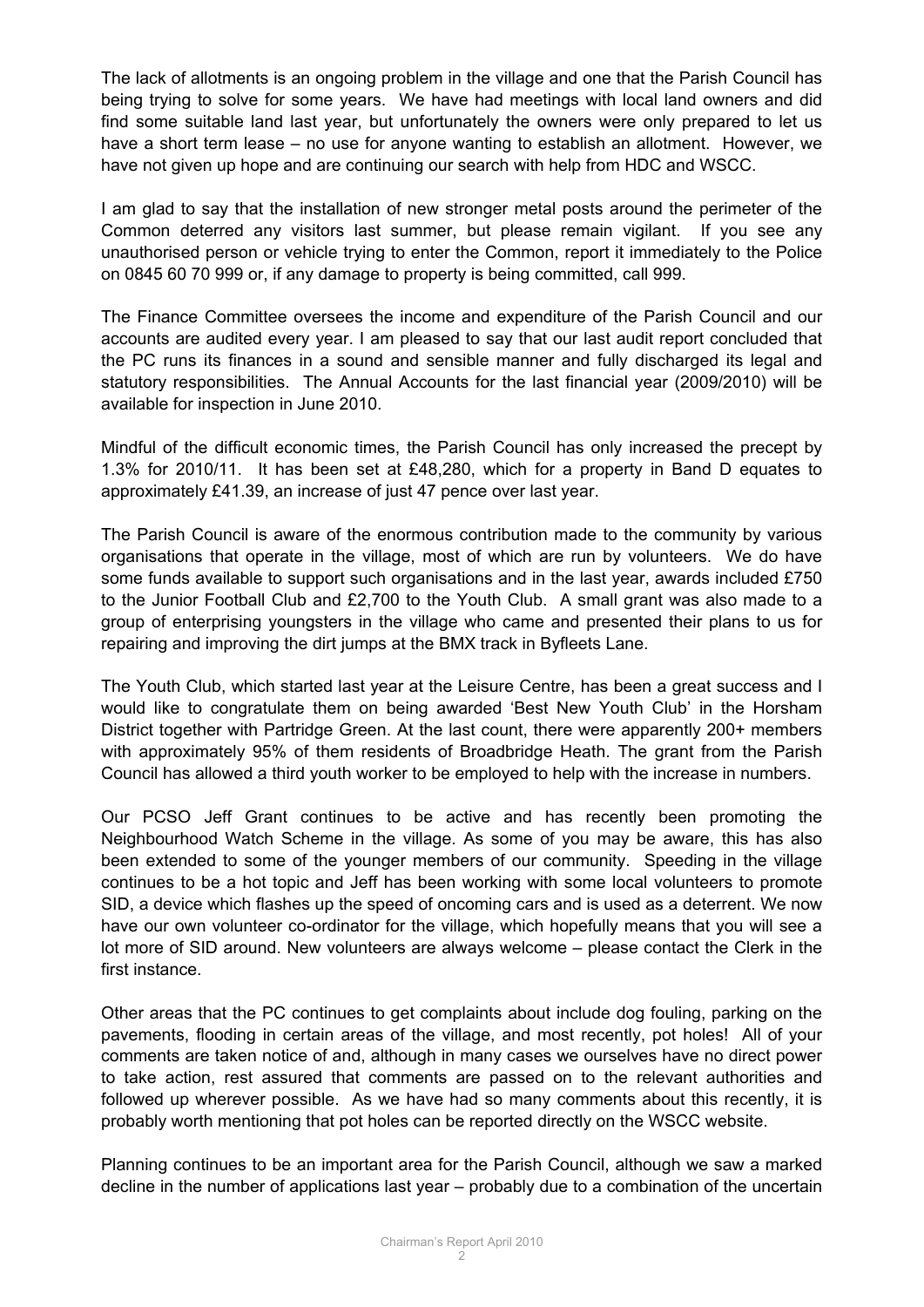The lack of allotments is an ongoing problem in the village and one that the Parish Council has being trying to solve for some years. We have had meetings with local land owners and did find some suitable land last year, but unfortunately the owners were only prepared to let us have a short term lease – no use for anyone wanting to establish an allotment. However, we have not given up hope and are continuing our search with help from HDC and WSCC.

I am glad to say that the installation of new stronger metal posts around the perimeter of the Common deterred any visitors last summer, but please remain vigilant. If you see any unauthorised person or vehicle trying to enter the Common, report it immediately to the Police on 0845 60 70 999 or, if any damage to property is being committed, call 999.

The Finance Committee oversees the income and expenditure of the Parish Council and our accounts are audited every year. I am pleased to say that our last audit report concluded that the PC runs its finances in a sound and sensible manner and fully discharged its legal and statutory responsibilities. The Annual Accounts for the last financial year (2009/2010) will be available for inspection in June 2010.

Mindful of the difficult economic times, the Parish Council has only increased the precept by 1.3% for 2010/11. It has been set at £48,280, which for a property in Band D equates to approximately £41.39, an increase of just 47 pence over last year.

The Parish Council is aware of the enormous contribution made to the community by various organisations that operate in the village, most of which are run by volunteers. We do have some funds available to support such organisations and in the last year, awards included £750 to the Junior Football Club and £2,700 to the Youth Club. A small grant was also made to a group of enterprising youngsters in the village who came and presented their plans to us for repairing and improving the dirt jumps at the BMX track in Byfleets Lane.

The Youth Club, which started last year at the Leisure Centre, has been a great success and I would like to congratulate them on being awarded 'Best New Youth Club' in the Horsham District together with Partridge Green. At the last count, there were apparently 200+ members with approximately 95% of them residents of Broadbridge Heath. The grant from the Parish Council has allowed a third youth worker to be employed to help with the increase in numbers.

Our PCSO Jeff Grant continues to be active and has recently been promoting the Neighbourhood Watch Scheme in the village. As some of you may be aware, this has also been extended to some of the younger members of our community. Speeding in the village continues to be a hot topic and Jeff has been working with some local volunteers to promote SID, a device which flashes up the speed of oncoming cars and is used as a deterrent. We now have our own volunteer co-ordinator for the village, which hopefully means that you will see a lot more of SID around. New volunteers are always welcome – please contact the Clerk in the first instance.

Other areas that the PC continues to get complaints about include dog fouling, parking on the pavements, flooding in certain areas of the village, and most recently, pot holes! All of your comments are taken notice of and, although in many cases we ourselves have no direct power to take action, rest assured that comments are passed on to the relevant authorities and followed up wherever possible. As we have had so many comments about this recently, it is probably worth mentioning that pot holes can be reported directly on the WSCC website.

Planning continues to be an important area for the Parish Council, although we saw a marked decline in the number of applications last year – probably due to a combination of the uncertain